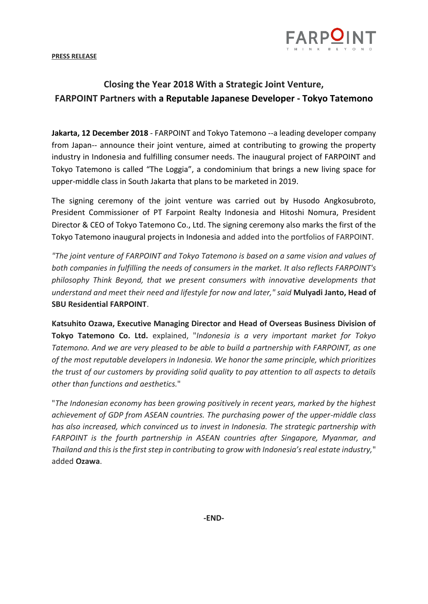

**PRESS RELEASE**

## **Closing the Year 2018 With a Strategic Joint Venture, FARPOINT Partners with a Reputable Japanese Developer - Tokyo Tatemono**

**Jakarta, 12 December 2018** - FARPOINT and Tokyo Tatemono --a leading developer company from Japan-- announce their joint venture, aimed at contributing to growing the property industry in Indonesia and fulfilling consumer needs. The inaugural project of FARPOINT and Tokyo Tatemono is called "The Loggia", a condominium that brings a new living space for upper-middle class in South Jakarta that plans to be marketed in 2019.

The signing ceremony of the joint venture was carried out by Husodo Angkosubroto, President Commissioner of PT Farpoint Realty Indonesia and Hitoshi Nomura, President Director & CEO of Tokyo Tatemono Co., Ltd. The signing ceremony also marks the first of the Tokyo Tatemono inaugural projects in Indonesia and added into the portfolios of FARPOINT.

*"The joint venture of FARPOINT and Tokyo Tatemono is based on a same vision and values of both companies in fulfilling the needs of consumers in the market. It also reflects FARPOINT's philosophy Think Beyond, that we present consumers with innovative developments that understand and meet their need and lifestyle for now and later," said* **Mulyadi Janto, Head of SBU Residential FARPOINT**.

**Katsuhito Ozawa, Executive Managing Director and Head of Overseas Business Division of Tokyo Tatemono Co. Ltd.** explained, "*Indonesia is a very important market for Tokyo Tatemono. And we are very pleased to be able to build a partnership with FARPOINT, as one of the most reputable developers in Indonesia. We honor the same principle, which prioritizes the trust of our customers by providing solid quality to pay attention to all aspects to details other than functions and aesthetics.*"

"*The Indonesian economy has been growing positively in recent years, marked by the highest achievement of GDP from ASEAN countries. The purchasing power of the upper-middle class has also increased, which convinced us to invest in Indonesia. The strategic partnership with FARPOINT is the fourth partnership in ASEAN countries after Singapore, Myanmar, and Thailand and this is the first step in contributing to grow with Indonesia's real estate industry,*" added **Ozawa**.